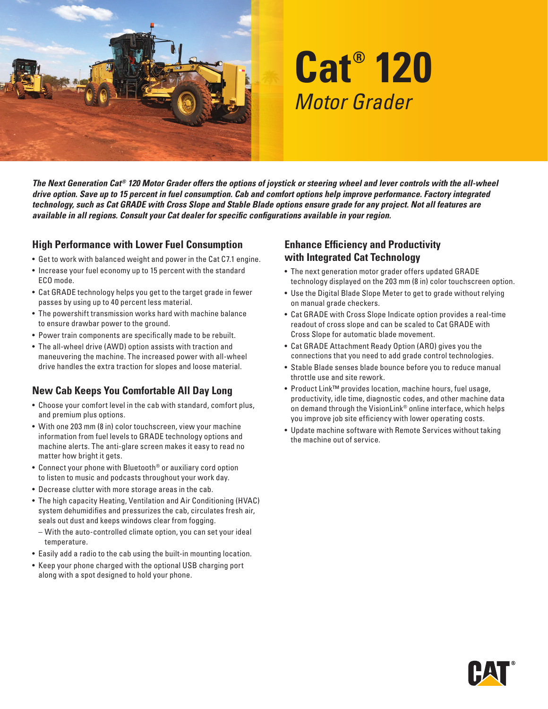

# **Cat® 120** *Motor Grader*

*The Next Generation Cat® 120 Motor Grader offers the options of joystick or steering wheel and lever controls with the all-wheel drive option. Save up to 15 percent in fuel consumption. Cab and comfort options help improve performance. Factory integrated technology, such as Cat GRADE with Cross Slope and Stable Blade options ensure grade for any project. Not all features are available in all regions. Consult your Cat dealer for specific configurations available in your region.*

#### **High Performance with Lower Fuel Consumption**

- Get to work with balanced weight and power in the Cat C7.1 engine.
- Increase your fuel economy up to 15 percent with the standard ECO mode.
- Cat GRADE technology helps you get to the target grade in fewer passes by using up to 40 percent less material.
- The powershift transmission works hard with machine balance to ensure drawbar power to the ground.
- Power train components are specifically made to be rebuilt.
- The all-wheel drive (AWD) option assists with traction and maneuvering the machine. The increased power with all-wheel drive handles the extra traction for slopes and loose material.

### **New Cab Keeps You Comfortable All Day Long**

- Choose your comfort level in the cab with standard, comfort plus, and premium plus options.
- With one 203 mm (8 in) color touchscreen, view your machine information from fuel levels to GRADE technology options and machine alerts. The anti-glare screen makes it easy to read no matter how bright it gets.
- Connect your phone with Bluetooth® or auxiliary cord option to listen to music and podcasts throughout your work day.
- Decrease clutter with more storage areas in the cab.
- The high capacity Heating, Ventilation and Air Conditioning (HVAC) system dehumidifies and pressurizes the cab, circulates fresh air, seals out dust and keeps windows clear from fogging.
	- With the auto-controlled climate option, you can set your ideal temperature.
- Easily add a radio to the cab using the built-in mounting location.
- Keep your phone charged with the optional USB charging port along with a spot designed to hold your phone.

#### **Enhance Efficiency and Productivity with Integrated Cat Technology**

- The next generation motor grader offers updated GRADE technology displayed on the 203 mm (8 in) color touchscreen option.
- Use the Digital Blade Slope Meter to get to grade without relying on manual grade checkers.
- Cat GRADE with Cross Slope Indicate option provides a real-time readout of cross slope and can be scaled to Cat GRADE with Cross Slope for automatic blade movement.
- Cat GRADE Attachment Ready Option (ARO) gives you the connections that you need to add grade control technologies.
- Stable Blade senses blade bounce before you to reduce manual throttle use and site rework.
- Product Link™ provides location, machine hours, fuel usage, productivity, idle time, diagnostic codes, and other machine data on demand through the VisionLink® online interface, which helps you improve job site efficiency with lower operating costs.
- Update machine software with Remote Services without taking the machine out of service.

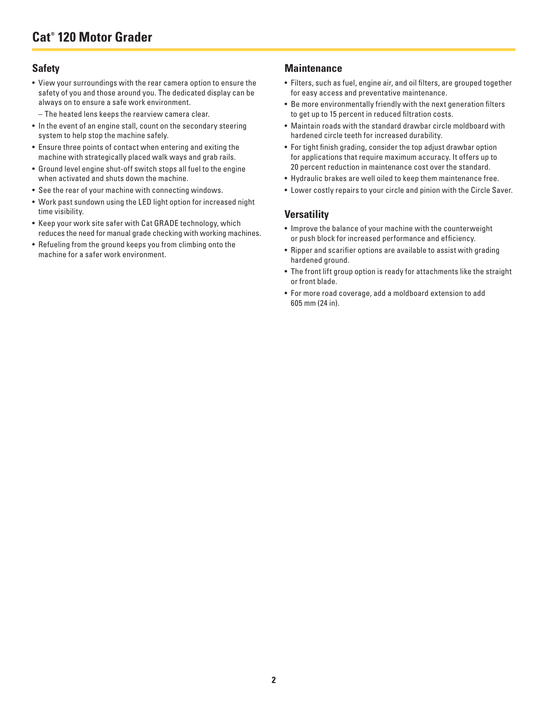#### **Safety**

- View your surroundings with the rear camera option to ensure the safety of you and those around you. The dedicated display can be always on to ensure a safe work environment.
	- The heated lens keeps the rearview camera clear.
- In the event of an engine stall, count on the secondary steering system to help stop the machine safely.
- Ensure three points of contact when entering and exiting the machine with strategically placed walk ways and grab rails.
- Ground level engine shut-off switch stops all fuel to the engine when activated and shuts down the machine.
- See the rear of your machine with connecting windows.
- Work past sundown using the LED light option for increased night time visibility.
- Keep your work site safer with Cat GRADE technology, which reduces the need for manual grade checking with working machines.
- Refueling from the ground keeps you from climbing onto the machine for a safer work environment.

#### **Maintenance**

- Filters, such as fuel, engine air, and oil filters, are grouped together for easy access and preventative maintenance.
- Be more environmentally friendly with the next generation filters to get up to 15 percent in reduced filtration costs.
- Maintain roads with the standard drawbar circle moldboard with hardened circle teeth for increased durability.
- For tight finish grading, consider the top adjust drawbar option for applications that require maximum accuracy. It offers up to 20 percent reduction in maintenance cost over the standard.
- Hydraulic brakes are well oiled to keep them maintenance free.
- Lower costly repairs to your circle and pinion with the Circle Saver.

#### **Versatility**

- Improve the balance of your machine with the counterweight or push block for increased performance and efficiency.
- Ripper and scarifier options are available to assist with grading hardened ground.
- The front lift group option is ready for attachments like the straight or front blade.
- For more road coverage, add a moldboard extension to add 605 mm (24 in).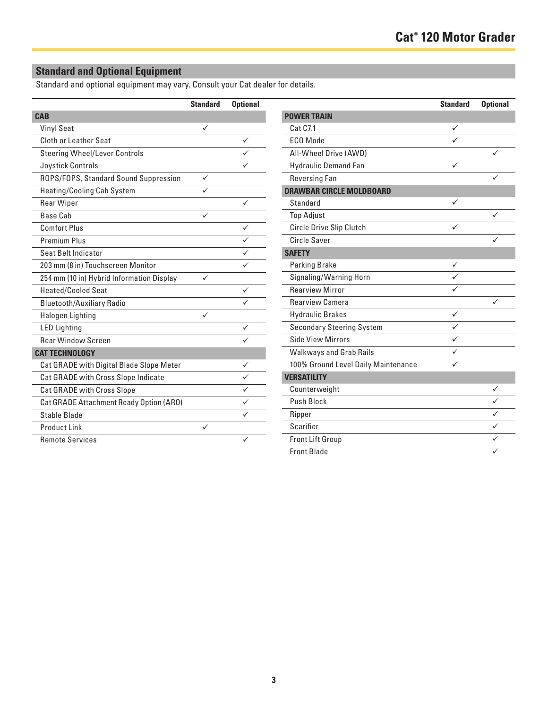## **Standard and Optional Equipment**

Standard and optional equipment may vary. Consult your Cat dealer for details.

|                                           | <b>Standard</b> | <b>Optional</b> |
|-------------------------------------------|-----------------|-----------------|
| <b>CAB</b>                                |                 |                 |
| <b>Vinyl Seat</b>                         | ✓               |                 |
| Cloth or Leather Seat                     |                 | ✓               |
| <b>Steering Wheel/Lever Controls</b>      |                 |                 |
| Joystick Controls                         |                 |                 |
| ROPS/FOPS, Standard Sound Suppression     | ✓               |                 |
| <b>Heating/Cooling Cab System</b>         |                 |                 |
| <b>Rear Wiper</b>                         |                 |                 |
| Base Cah                                  | ✓               |                 |
| Comfort Plus                              |                 | ✓               |
| Premium Plus                              |                 |                 |
| Seat Belt Indicator                       |                 |                 |
| 203 mm (8 in) Touchscreen Monitor         |                 |                 |
| 254 mm (10 in) Hybrid Information Display | ✓               |                 |
| <b>Heated/Cooled Seat</b>                 |                 | ✓               |
| <b>Bluetooth/Auxiliary Radio</b>          |                 |                 |
| <b>Halogen Lighting</b>                   | ✓               |                 |
| <b>LED Lighting</b>                       |                 | ✓               |
| <b>Rear Window Screen</b>                 |                 |                 |
| <b>CAT TECHNOLOGY</b>                     |                 |                 |
| Cat GRADE with Digital Blade Slope Meter  |                 | ✓               |
| Cat GRADE with Cross Slope Indicate       |                 |                 |
| Cat GRADE with Cross Slope                |                 |                 |
| Cat GRADE Attachment Ready Option (ARO)   |                 |                 |
| Stable Blade                              |                 |                 |
| <b>Product Link</b>                       | ✓               |                 |
| <b>Remote Services</b>                    |                 |                 |

|                                     | <b>Standard</b> | <b>Optional</b> |
|-------------------------------------|-----------------|-----------------|
| <b>POWER TRAIN</b>                  |                 |                 |
| Cat C7.1                            | ✓               |                 |
| FCO Mode                            |                 |                 |
| All-Wheel Drive (AWD)               |                 | ✓               |
| <b>Hydraulic Demand Fan</b>         | ✓               |                 |
| <b>Reversing Fan</b>                |                 |                 |
| <b>DRAWBAR CIRCLE MOLDBOARD</b>     |                 |                 |
| Standard                            | ✓               |                 |
| <b>Top Adjust</b>                   |                 | ✓               |
| Circle Drive Slip Clutch            |                 |                 |
| <b>Circle Saver</b>                 |                 |                 |
| <b>SAFETY</b>                       |                 |                 |
| <b>Parking Brake</b>                | ✓               |                 |
| Signaling/Warning Horn              | ✓               |                 |
| <b>Rearview Mirror</b>              |                 |                 |
| <b>Rearview Camera</b>              |                 | ✓               |
| <b>Hydraulic Brakes</b>             | ✓               |                 |
| <b>Secondary Steering System</b>    | ✓               |                 |
| Side View Mirrors                   | ✓               |                 |
| <b>Walkways and Grab Rails</b>      |                 |                 |
| 100% Ground Level Daily Maintenance |                 |                 |
| <b>VERSATILITY</b>                  |                 |                 |
| Counterweight                       |                 | ✓               |
| Push Block                          |                 |                 |
| Ripper                              |                 |                 |
| Scarifier                           |                 | ✓               |
| Front Lift Group                    |                 |                 |
| <b>Front Blade</b>                  |                 | ✓               |